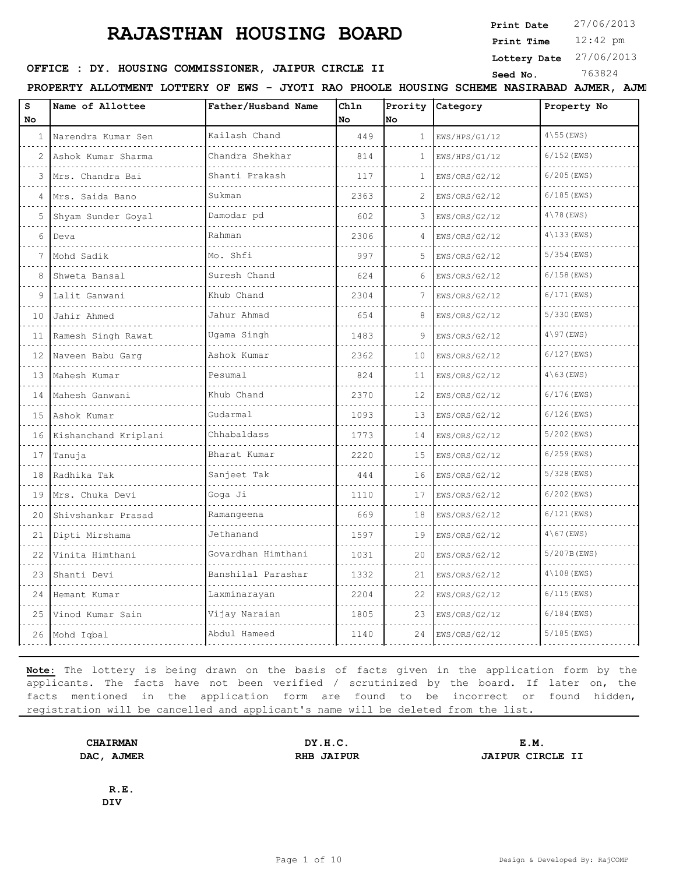**Print Date**  $27/06/2013$ 

12:42 pm **Print Time**

**Lottery Date** 27/06/2013

## **SEED OFFICE : DY. HOUSING COMMISSIONER, JAIPUR CIRCLE II** Seed No. 363824

**PROPERTY ALLOTMENT LOTTERY OF EWS - JYOTI RAO PHOOLE HOUSING SCHEME NASIRABAD AJMER, AJMER**

| S<br>No      | Name of Allottee     | Father/Husband Name | Ch1n<br>No | No             | Prority Category | Property No            |
|--------------|----------------------|---------------------|------------|----------------|------------------|------------------------|
| $\mathbf{1}$ | Narendra Kumar Sen   | Kailash Chand       | 449        | $\mathbf{1}$   | EWS/HPS/G1/12    | $4\backslash55$ (EWS)  |
|              | Ashok Kumar Sharma   | Chandra Shekhar     | 814        | 1              | EWS/HPS/G1/12    | $6/152$ (EWS)          |
| 3            | Mrs. Chandra Bai     | Shanti Prakash      | 117        | 1              | EWS/ORS/G2/12    | $6/205$ (EWS)          |
| 4            | Mrs. Saida Bano      | Sukman              | 2363       | $\mathfrak{D}$ | EWS/ORS/G2/12    | $6/185$ (EWS)          |
| 5            | Shyam Sunder Goyal   | Damodar pd          | 602        | 3              | EWS/ORS/G2/12    | $4\$ 78 (EWS)          |
| 6            | Deva                 | Rahman              | 2306       | 4              | EWS/ORS/G2/12    | $4\backslash133$ (EWS) |
| 7            | Mohd Sadik           | Mo. Shfi            | 997        | 5              | EWS/ORS/G2/12    | $5/354$ (EWS)          |
| 8            | Shweta Bansal        | Suresh Chand        | 624        | 6              | EWS/ORS/G2/12    | $6/158$ (EWS)          |
| 9            | Lalit Ganwani        | Khub Chand          | 2304       | 7              | EWS/ORS/G2/12    | $6/171$ (EWS)          |
| 10           | Jahir Ahmed          | Jahur Ahmad         | 654        | 8              | EWS/ORS/G2/12    | 5/330 (EWS)            |
| 11           | Ramesh Singh Rawat   | Uqama Singh         | 1483       | 9              | EWS/ORS/G2/12    | $4\backslash97$ (EWS)  |
| 12           | Naveen Babu Garq     | Ashok Kumar         | 2362       | 10             | EWS/ORS/G2/12    | $6/127$ (EWS)          |
| 13           | Mahesh Kumar         | Pesumal             | 824        | 11             | EWS/ORS/G2/12    | $4\backslash 63$ (EWS) |
| 14           | Mahesh Ganwani       | Khub Chand          | 2370       | 12             | EWS/ORS/G2/12    | $6/176$ (EWS)          |
| 15           | Ashok Kumar          | Gudarmal            | 1093       | 13             | EWS/ORS/G2/12    | $6/126$ (EWS)          |
| 16           | Kishanchand Kriplani | Chhabaldass         | 1773       | 14             | EWS/ORS/G2/12    | $5/202$ (EWS)          |
| 17           | Tanuja               | Bharat Kumar        | 2220       | 15             | EWS/ORS/G2/12    | $6/259$ (EWS)          |
| 18           | Radhika Tak          | Sanjeet Tak         | 444        | 16             | EWS/ORS/G2/12    | $5/328$ (EWS)          |
| 19           | Mrs. Chuka Devi      | Goga Ji             | 1110       | 17             | EWS/ORS/G2/12    | $6/202$ (EWS)          |
| 20           | Shivshankar Prasad   | Ramangeena          | 669        | 18             | EWS/ORS/G2/12    | $6/121$ (EWS)          |
| 21           | Dipti Mirshama       | Jethanand           | 1597       | 19             | EWS/ORS/G2/12    | $4\backslash 67$ (EWS) |
| 22           | Vinita Himthani      | Govardhan Himthani  | 1031       | 20             | EWS/ORS/G2/12    | 5/207B (EWS)           |
| 23           | Shanti Devi          | Banshilal Parashar  | 1332       | 21             | EWS/ORS/G2/12    | $4\backslash108$ (EWS) |
| 24           | Hemant Kumar         | Laxminarayan        | 2204       | 22             | EWS/ORS/G2/12    | $6/115$ (EWS)          |
| 25           | Vinod Kumar Sain     | Vijay Naraian       | 1805       | 23             | EWS/ORS/G2/12    | $6/184$ (EWS)          |
|              | 26 Mohd Iqbal        | Abdul Hameed        | 1140       | 24             | EWS/ORS/G2/12    | $5/185$ (EWS)          |

**Note:** The lottery is being drawn on the basis of facts given in the application form by the applicants. The facts have not been verified / scrutinized by the board. If later on, the facts mentioned in the application form are found to be incorrect or found hidden, registration will be cancelled and applicant's name will be deleted from the list.

**CHAIRMAN DY.H.C. E.M. DAC, AJMER RHB JAIPUR JAIPUR CIRCLE II**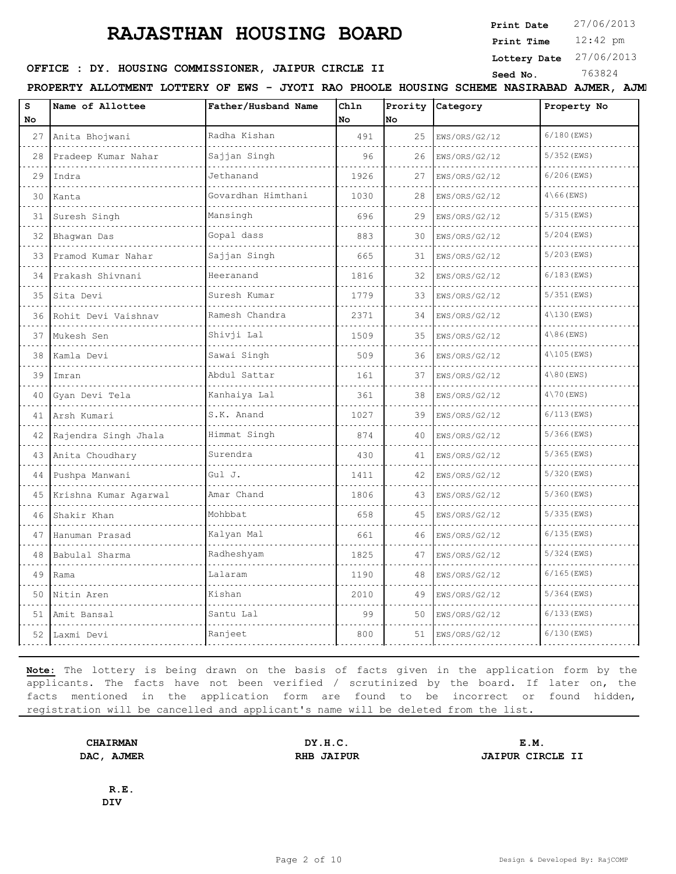**Print Date**  $27/06/2013$ 

12:42 pm **Print Time**

**Lottery Date** 27/06/2013

## **SEED OFFICE : DY. HOUSING COMMISSIONER, JAIPUR CIRCLE II** Seed No. 363824

**PROPERTY ALLOTMENT LOTTERY OF EWS - JYOTI RAO PHOOLE HOUSING SCHEME NASIRABAD AJMER, AJMER**

| S<br>No. | Name of Allottee      | Father/Husband Name | Chln<br>No. | Prority<br><b>No</b> | Category      | Property No            |
|----------|-----------------------|---------------------|-------------|----------------------|---------------|------------------------|
| 27       | Anita Bhojwani        | Radha Kishan<br>.   | 491         | 25                   | EWS/ORS/G2/12 | 6/180 (EWS)            |
| 28       | Pradeep Kumar Nahar   | Sajjan Singh        | 96          | 26                   | EWS/ORS/G2/12 | $5/352$ (EWS)          |
| 29       | Indra                 | Jethanand           | 1926        | 27                   | EWS/ORS/G2/12 | $6/206$ (EWS)          |
| 30       | Kanta                 | Govardhan Himthani  | 1030        | 28                   | EWS/ORS/G2/12 | $4\backslash 66$ (EWS) |
| 31       | Suresh Singh          | Mansingh            | 696         | 29                   | EWS/ORS/G2/12 | $5/315$ (EWS)          |
| 32       | Bhaqwan Das           | Gopal dass          | 883         | 30                   | EWS/ORS/G2/12 | $5/204$ (EWS)          |
| 33       | Pramod Kumar Nahar    | Sajjan Singh        | 665         | 31                   | EWS/ORS/G2/12 | $5/203$ (EWS)          |
| 34       | Prakash Shivnani      | Heeranand           | 1816        | 32                   | EWS/ORS/G2/12 | 6/183 (EWS)            |
| 35       | Sita Devi             | Suresh Kumar        | 1779        | 33                   | EWS/ORS/G2/12 | $5/351$ (EWS)          |
| 36       | Rohit Devi Vaishnav   | Ramesh Chandra      | 2371        | 34                   | EWS/ORS/G2/12 | $4\backslash130$ (EWS) |
| 37       | Mukesh Sen            | Shivji Lal          | 1509        | 35                   | EWS/ORS/G2/12 | $4\backslash 86$ (EWS) |
| 38       | Kamla Devi            | Sawai Singh         | 509         | 36                   | EWS/ORS/G2/12 | $4\backslash105$ (EWS) |
| 39       | Imran                 | Abdul Sattar        | 161         | 37                   | EWS/ORS/G2/12 | $4\$ 80 (EWS)          |
| 40       | Gyan Devi Tela        | Kanhaiya Lal        | 361         | 38                   | EWS/ORS/G2/12 | $4\backslash70$ (EWS)  |
| 41       | Arsh Kumari           | S.K. Anand          | 1027        | 39                   | EWS/ORS/G2/12 | $6/113$ (EWS)          |
| 42       | Rajendra Singh Jhala  | Himmat Singh        | 874         | 40                   | EWS/ORS/G2/12 | $5/366$ (EWS)          |
| 43       | Anita Choudhary       | Surendra            | 430         | 41                   | EWS/ORS/G2/12 | $5/365$ (EWS)          |
| 44       | Pushpa Manwani        | Gul J.              | 1411        | 42                   | EWS/ORS/G2/12 | $5/320$ (EWS)          |
| 45       | Krishna Kumar Agarwal | Amar Chand          | 1806        | 43                   | EWS/ORS/G2/12 | 5/360 (EWS)            |
| 46       | Shakir Khan           | Mohbbat             | 658         | 45                   | EWS/ORS/G2/12 | $5/335$ (EWS)          |
| 47       | Hanuman Prasad        | Kalyan Mal          | 661         | 46                   | EWS/ORS/G2/12 | $6/135$ (EWS)          |
| 48       | Babulal Sharma        | Radheshyam          | 1825        | 47                   | EWS/ORS/G2/12 | 5/324 (EWS)            |
| 49       | Rama                  | Lalaram             | 1190        | 48                   | EWS/ORS/G2/12 | $6/165$ (EWS)          |
| 50       | Nitin Aren            | Kishan              | 2010        | 49                   | EWS/ORS/G2/12 | $5/364$ (EWS)          |
| 51       | Amit Bansal           | Santu Lal           | 99          | 50                   | EWS/ORS/G2/12 | 6/133 (EWS)            |
| 52       | Laxmi Devi            | Ranjeet             | 800         | 51                   | EWS/ORS/G2/12 | 6/130 (EWS)            |

**Note:** The lottery is being drawn on the basis of facts given in the application form by the applicants. The facts have not been verified / scrutinized by the board. If later on, the facts mentioned in the application form are found to be incorrect or found hidden, registration will be cancelled and applicant's name will be deleted from the list.

**CHAIRMAN DY.H.C. E.M. DAC, AJMER RHB JAIPUR JAIPUR CIRCLE II**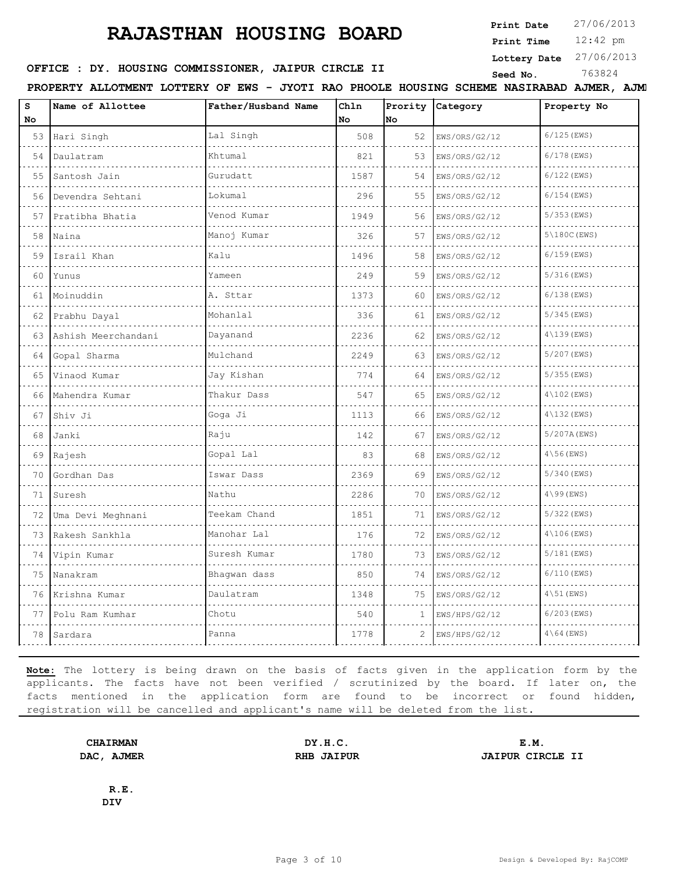**Print Date**  $27/06/2013$ 

12:42 pm **Print Time**

**Lottery Date** 27/06/2013

## **SEED OFFICE : DY. HOUSING COMMISSIONER, JAIPUR CIRCLE II** Seed No. 363824

**PROPERTY ALLOTMENT LOTTERY OF EWS - JYOTI RAO PHOOLE HOUSING SCHEME NASIRABAD AJMER, AJMER**

| $\mathbf{s}$<br>No | Name of Allottee    | Father/Husband Name | Ch1n<br>No | Prority<br>No | Category      | Property No             |
|--------------------|---------------------|---------------------|------------|---------------|---------------|-------------------------|
| 53                 | Hari Singh          | Lal Singh           | 508        | 52            | EWS/ORS/G2/12 | $6/125$ (EWS)           |
| 54                 | Daulatram           | Khtumal             | 821        | 53            | EWS/ORS/G2/12 | $6/178$ (EWS)           |
| 55                 | Santosh Jain        | Gurudatt            | 1587       | 54            | EWS/ORS/G2/12 | $6/122$ (EWS)           |
| 56                 | Devendra Sehtani    | Lokumal             | 296        | 55            | EWS/ORS/G2/12 | $6/154$ (EWS)           |
| 57                 | Pratibha Bhatia     | Venod Kumar         | 1949       | 56            | EWS/ORS/G2/12 | $5/353$ (EWS)           |
| 58                 | Naina               | Manoj Kumar         | 326        | 57            | EWS/ORS/G2/12 | $5\backslash180C$ (EWS) |
| 59                 | Israil Khan         | Kalu                | 1496       | 58            | EWS/ORS/G2/12 | $6/159$ (EWS)           |
| 60                 | Yunus               | Yameen              | 249        | 59            | EWS/ORS/G2/12 | 5/316 (EWS)             |
| 61                 | Moinuddin           | A. Sttar            | 1373       | 60            | EWS/ORS/G2/12 | $6/138$ (EWS)           |
| 62                 | Prabhu Dayal        | Mohanlal            | 336        | 61            | EWS/ORS/G2/12 | $5/345$ (EWS)           |
| 63                 | Ashish Meerchandani | Dayanand            | 2236       | 62            | EWS/ORS/G2/12 | $4\backslash139$ (EWS)  |
| 64                 | Gopal Sharma        | Mulchand            | 2249       | 63            | EWS/ORS/G2/12 | 5/207 (EWS)             |
| 65                 | Vinaod Kumar        | Jay Kishan<br>.     | 774        | 64            | EWS/ORS/G2/12 | $5/355$ (EWS)           |
| 66                 | Mahendra Kumar      | Thakur Dass         | 547        | 65            | EWS/ORS/G2/12 | $4\angle 102$ (EWS)     |
| 67                 | Shiv Ji             | Goga Ji             | 1113       | 66            | EWS/ORS/G2/12 | $4\backslash132$ (EWS)  |
| 68                 | Janki               | Raju                | 142        | 67            | EWS/ORS/G2/12 | 5/207A (EWS)            |
| 69                 | Rajesh              | Gopal Lal           | 83         | 68            | EWS/ORS/G2/12 | $4\backslash56$ (EWS)   |
| 70                 | Gordhan Das         | Iswar Dass          | 2369       | 69            | EWS/ORS/G2/12 | 5/340 (EWS)             |
| 71                 | Suresh              | Nathu               | 2286       | 70            | EWS/ORS/G2/12 | $4\backslash99$ (EWS)   |
| 72                 | Uma Devi Meghnani   | Teekam Chand        | 1851       | 71            | EWS/ORS/G2/12 | 5/322 (EWS)             |
| 73                 | Rakesh Sankhla      | Manohar Lal         | 176        | 72            | EWS/ORS/G2/12 | $4\backslash106$ (EWS)  |
| 74                 | Vipin Kumar         | Suresh Kumar        | 1780       | 73            | EWS/ORS/G2/12 | 5/181 (EWS)             |
| 75                 | Nanakram            | Bhaqwan dass        | 850        | 74            | EWS/ORS/G2/12 | $6/110$ (EWS)           |
| 76                 | Krishna Kumar       | Daulatram           | 1348       | 75            | EWS/ORS/G2/12 | $4\backslash51$ (EWS)   |
| 77                 | Polu Ram Kumhar     | Chotu               | 540        | 1             | EWS/HPS/G2/12 | 6/203 (EWS)             |
| 78                 | Sardara             | Panna               | 1778       | 2             | EWS/HPS/G2/12 | $4\backslash 64$ (EWS)  |

**Note:** The lottery is being drawn on the basis of facts given in the application form by the applicants. The facts have not been verified / scrutinized by the board. If later on, the facts mentioned in the application form are found to be incorrect or found hidden, registration will be cancelled and applicant's name will be deleted from the list.

**CHAIRMAN DY.H.C. E.M. DAC, AJMER RHB JAIPUR JAIPUR CIRCLE II**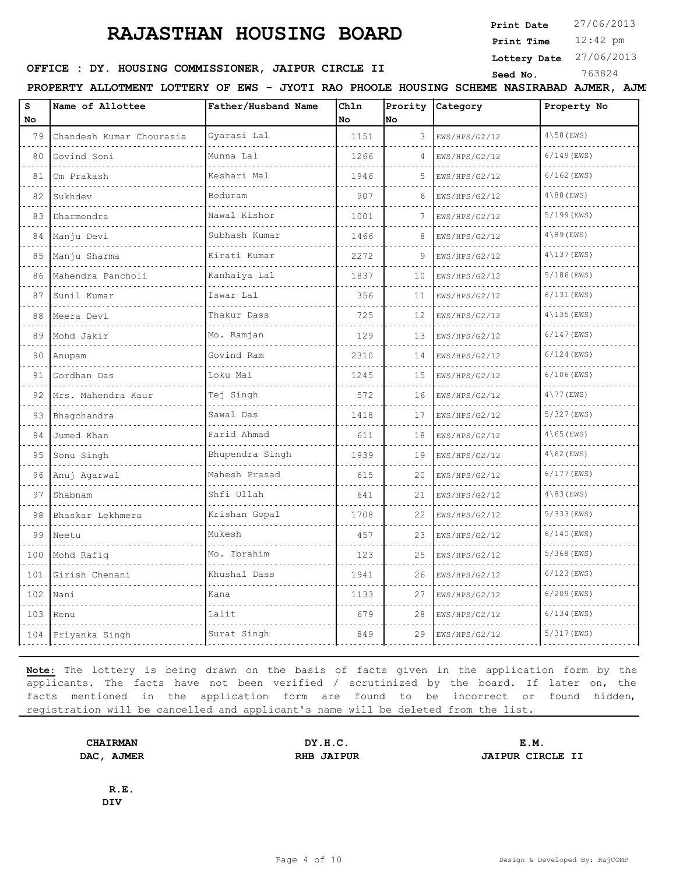**Print Date**  $27/06/2013$ 

12:42 pm **Print Time**

#### **Lottery Date** 27/06/2013

## **SEED OFFICE : DY. HOUSING COMMISSIONER, JAIPUR CIRCLE II** Seed No. 363824

**PROPERTY ALLOTMENT LOTTERY OF EWS - JYOTI RAO PHOOLE HOUSING SCHEME NASIRABAD AJMER, AJMER**

| s<br>No | Name of Allottee         | Father/Husband Name      | Ch1n<br>No | Prority<br>No | Category                            | Property No            |
|---------|--------------------------|--------------------------|------------|---------------|-------------------------------------|------------------------|
| 79      | Chandesh Kumar Chourasia | Gyarasi Lal              | 1151       | 3             | EWS/HPS/G2/12                       | $4\backslash58$ (EWS)  |
| 80      | Govind Soni              | Munna Lal                | 1266       | 4             | de de de de de dec<br>EWS/HPS/G2/12 | $6/149$ (EWS)          |
| 81      | Om Prakash               | Keshari Mal              | 1946       | 5             | EWS/HPS/G2/12                       | $6/162$ (EWS)          |
| 82      | Sukhdev<br>.             | Boduram                  | 907        | 6             | EWS/HPS/G2/12                       | $4\backslash 88$ (EWS) |
| 83      | Dharmendra               | Nawal Kishor             | 1001       | 7             | EWS/HPS/G2/12                       | $5/199$ (EWS)          |
| 84      | Manju Devi               | Subhash Kumar            | 1466       | 8             | EWS/HPS/G2/12                       | $4\backslash89$ (EWS)  |
| 85      | Manju Sharma             | Kirati Kumar<br><u>.</u> | 2272       | 9             | EWS/HPS/G2/12                       | $4\backslash137$ (EWS) |
| 86      | Mahendra Pancholi        | Kanhaiya Lal             | 1837       | 10            | EWS/HPS/G2/12                       | $5/186$ (EWS)          |
| 87      | Sunil Kumar              | Iswar Lal                | 356        | 11            | EWS/HPS/G2/12                       | $6/131$ (EWS)          |
| 88      | Meera Devi               | Thakur Dass              | 725        | 12            | EWS/HPS/G2/12                       | $4\backslash135$ (EWS) |
| 89      | Mohd Jakir               | Mo. Ramjan               | 129        | 13            | EWS/HPS/G2/12                       | $6/147$ (EWS)          |
| 90      | Anupam                   | Govind Ram               | 2310       | 14            | EWS/HPS/G2/12                       | $6/124$ (EWS)          |
| 91      | Gordhan Das              | Loku Mal                 | 1245       | 15            | EWS/HPS/G2/12                       | $6/106$ (EWS)          |
| 92      | Mrs. Mahendra Kaur       | Tej Singh                | 572        | 16            | EWS/HPS/G2/12                       | $4\backslash77$ (EWS)  |
| 93      | Bhagchandra              | Sawal Das                | 1418       | 17            | EWS/HPS/G2/12                       | 5/327 (EWS)            |
| 94      | Jumed Khan               | Farid Ahmad              | 611        | 18            | EWS/HPS/G2/12                       | $4\backslash 65$ (EWS) |
| 95      | Sonu Singh               | Bhupendra Singh          | 1939       | 19            | EWS/HPS/G2/12                       | $4\backslash 62$ (EWS) |
| 96      | Anuj Agarwal             | Mahesh Prasad            | 615        | 20            | EWS/HPS/G2/12                       | $6/177$ (EWS)          |
| 97      | Shabnam                  | Shfi Ullah               | 641        | 21            | EWS/HPS/G2/12                       | $4\$ 83 (EWS)          |
| 98      | Bhaskar Lekhmera         | Krishan Gopal            | 1708       | 22            | EWS/HPS/G2/12                       | $5/333$ (EWS)          |
| 99      | Neetu                    | Mukesh                   | 457        | 23            | EWS/HPS/G2/12                       | $6/140$ (EWS)          |
| 100     | Mohd Rafiq               | Mo. Ibrahim              | 123        | 25            | EWS/HPS/G2/12                       | $5/368$ (EWS)          |
| 101     | Girish Chenani           | Khushal Dass             | 1941       | 26            | EWS/HPS/G2/12                       | $6/123$ (EWS)          |
| 102     | Nani                     | Kana                     | 1133       | 27            | EWS/HPS/G2/12                       | $6/209$ (EWS)          |
| 103     | Renu                     | Lalit                    | 679        | 28            | EWS/HPS/G2/12                       | $6/134$ (EWS)          |
|         | 104 Priyanka Singh       | Surat Singh              | 849        | 29            | EWS/HPS/G2/12                       | 5/317 (EWS)            |

**Note:** The lottery is being drawn on the basis of facts given in the application form by the applicants. The facts have not been verified / scrutinized by the board. If later on, the facts mentioned in the application form are found to be incorrect or found hidden, registration will be cancelled and applicant's name will be deleted from the list.

**CHAIRMAN DY.H.C. E.M. DAC, AJMER RHB JAIPUR JAIPUR CIRCLE II**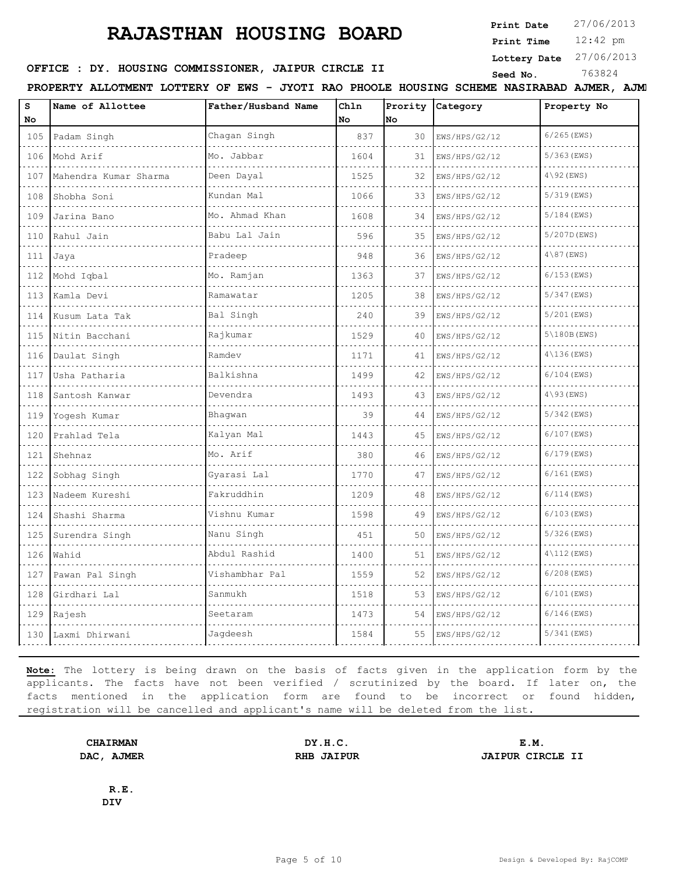**Print Date**  $27/06/2013$ 

12:42 pm **Print Time**

**Lottery Date** 27/06/2013

## **SEED OFFICE : DY. HOUSING COMMISSIONER, JAIPUR CIRCLE II** Seed No. 363824

**PROPERTY ALLOTMENT LOTTERY OF EWS - JYOTI RAO PHOOLE HOUSING SCHEME NASIRABAD AJMER, AJMER**

| s<br>No | Name of Allottee      | Father/Husband Name | Chln<br>No | Prority<br>lno | Category      | Property No            |
|---------|-----------------------|---------------------|------------|----------------|---------------|------------------------|
| 105     | Padam Singh           | Chagan Singh        | 837        | 30             | EWS/HPS/G2/12 | $6/265$ (EWS)          |
| 106     | Mohd Arif             | Mo. Jabbar          | 1604       | 31             | EWS/HPS/G2/12 | $5/363$ (EWS)          |
| 107     | Mahendra Kumar Sharma | Deen Dayal          | 1525       | 32             | EWS/HPS/G2/12 | $4\backslash 92$ (EWS) |
| 108     | Shobha Soni           | Kundan Mal          | 1066       | 33             | EWS/HPS/G2/12 | $5/319$ (EWS)          |
| 109     | Jarina Bano           | Mo. Ahmad Khan      | 1608       | 34             | EWS/HPS/G2/12 | $5/184$ (EWS)          |
| 110     | Rahul Jain            | Babu Lal Jain       | 596        | 35             | EWS/HPS/G2/12 | 5/207D (EWS)           |
| 111     | Jaya                  | Pradeep             | 948        | 36             | EWS/HPS/G2/12 | $4\backslash 87$ (EWS) |
| 112     | Mohd Iqbal            | 11111<br>Mo. Ramjan | 1363       | 37             | EWS/HPS/G2/12 | $6/153$ (EWS)          |
| 113     | Kamla Devi            | Ramawatar           | 1205       | 38             | EWS/HPS/G2/12 | 5/347 (EWS)            |
| 114     | Kusum Lata Tak        | Bal Singh           | 240        | 39             | EWS/HPS/G2/12 | 5/201 (EWS)            |
| 115     | Nitin Bacchani        | Rajkumar            | 1529       | 40             | EWS/HPS/G2/12 | $5\$ 180B (EWS)        |
| 116     | Daulat Singh          | Ramdev              | 1171       | 41             | EWS/HPS/G2/12 | $4\backslash136$ (EWS) |
| 117     | Usha Patharia         | Balkishna           | 1499       | 42             | EWS/HPS/G2/12 | $6/104$ (EWS)          |
| 118     | Santosh Kanwar        | Devendra            | 1493       | 43             | EWS/HPS/G2/12 | $4\backslash 93$ (EWS) |
| 119     | Yogesh Kumar          | Bhaqwan             | 39         | 44             | EWS/HPS/G2/12 | 5/342 (EWS)            |
| 120     | Prahlad Tela          | Kalyan Mal          | 1443       | 45             | EWS/HPS/G2/12 | 6/107 (EWS)            |
| 121     | Shehnaz               | Mo. Arif            | 380        | 46             | EWS/HPS/G2/12 | $6/179$ (EWS)          |
| 122     | Sobhag Singh          | Gyarasi Lal         | 1770       | 47             | EWS/HPS/G2/12 | $6/161$ (EWS)          |
| 123     | Nadeem Kureshi        | Fakruddhin          | 1209       | 48             | EWS/HPS/G2/12 | $6/114$ (EWS)          |
| 124     | Shashi Sharma         | Vishnu Kumar        | 1598       | 49             | EWS/HPS/G2/12 | $6/103$ (EWS)          |
| 125     | Surendra Singh        | Nanu Singh          | 451        | 50             | EWS/HPS/G2/12 | 5/326 (EWS)            |
| 126     | Wahid                 | Abdul Rashid        | 1400       | 51             | EWS/HPS/G2/12 | $4\backslash112$ (EWS) |
| 127     | Pawan Pal Singh       | Vishambhar Pal      | 1559       | 52             | EWS/HPS/G2/12 | $6/208$ (EWS)          |
| 128     | Girdhari Lal          | Sanmukh             | 1518       | 53             | EWS/HPS/G2/12 | $6/101$ (EWS)          |
|         | 129 Rajesh            | Seetaram            | 1473       | 54             | EWS/HPS/G2/12 | $6/146$ (EWS)          |
| 130     | Laxmi Dhirwani        | Jagdeesh            | 1584       | 55             | EWS/HPS/G2/12 | 5/341 (EWS)            |

**Note:** The lottery is being drawn on the basis of facts given in the application form by the applicants. The facts have not been verified / scrutinized by the board. If later on, the facts mentioned in the application form are found to be incorrect or found hidden, registration will be cancelled and applicant's name will be deleted from the list.

**CHAIRMAN DY.H.C. E.M. DAC, AJMER RHB JAIPUR JAIPUR CIRCLE II**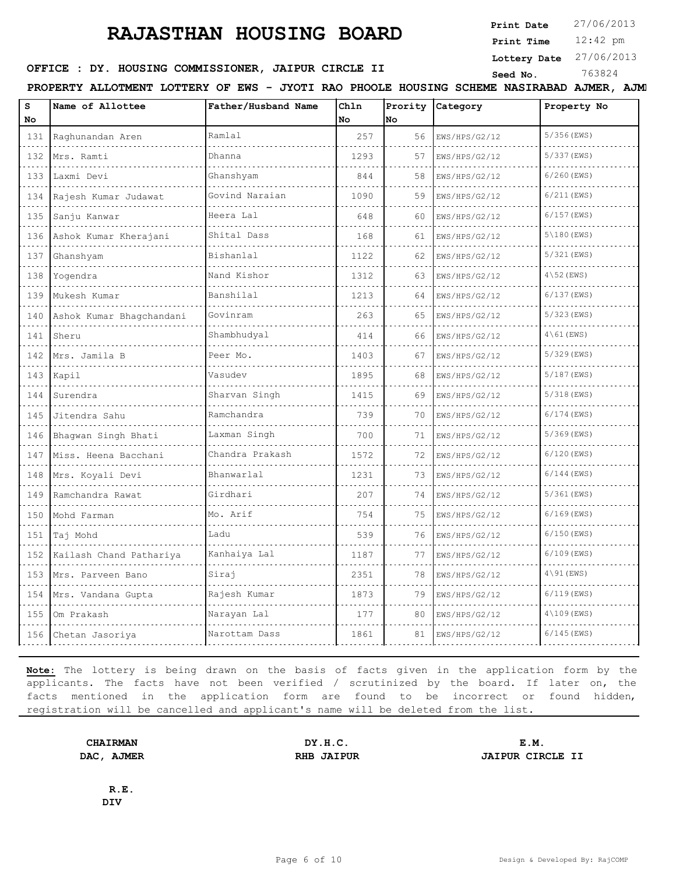**Print Date**  $27/06/2013$ 

12:42 pm **Print Time**

#### **Lottery Date** 27/06/2013

## **SEED OFFICE : DY. HOUSING COMMISSIONER, JAIPUR CIRCLE II** Seed No. 363824

**PROPERTY ALLOTMENT LOTTERY OF EWS - JYOTI RAO PHOOLE HOUSING SCHEME NASIRABAD AJMER, AJMER**

| S<br>No                     | Name of Allottee         | Father/Husband Name | Ch1n<br>No | Prority<br>No | Category      | Property No            |
|-----------------------------|--------------------------|---------------------|------------|---------------|---------------|------------------------|
| 131                         | Raghunandan Aren         | Ramlal              | 257        | 56            | EWS/HPS/G2/12 | $5/356$ (EWS)          |
| 132                         | Mrs. Ramti               | Dhanna              | 1293       | 57            | EWS/HPS/G2/12 | 5/337 (EWS)            |
| 133                         | Laxmi Devi               | Ghanshyam           | 844        | 58            | EWS/HPS/G2/12 | $6/260$ (EWS)          |
| 134                         | Rajesh Kumar Judawat     | Govind Naraian      | 1090       | 59            | EWS/HPS/G2/12 | $6/211$ (EWS)          |
| 135                         | Sanju Kanwar             | Heera Lal           | 648        | 60            | EWS/HPS/G2/12 | $6/157$ (EWS)          |
| 136                         | Ashok Kumar Kherajani    | Shital Dass         | 168        | 61            | EWS/HPS/G2/12 | 5(180(EWS))            |
| 137                         | Ghanshyam                | Bishanlal           | 1122       | 62            | EWS/HPS/G2/12 | 5/321 (EWS)            |
| 138                         | Yogendra                 | Nand Kishor         | 1312       | 63            | EWS/HPS/G2/12 | $4\backslash52$ (EWS)  |
| 139                         | Mukesh Kumar             | Banshilal           | 1213       | 64            | EWS/HPS/G2/12 | $6/137$ (EWS)          |
| 140                         | Ashok Kumar Bhagchandani | Govinram            | 263        | 65            | EWS/HPS/G2/12 | 5/323 (EWS)            |
| 141                         | Sheru                    | Shambhudyal         | 414        | 66            | EWS/HPS/G2/12 | $4\backslash 61$ (EWS) |
| $\sim$ $\sim$ $\sim$<br>142 | Mrs. Jamila B            | Peer Mo.            | 1403       | 67            | EWS/HPS/G2/12 | $5/329$ (EWS)          |
| 143                         | Kapil                    | Vasudev             | 1895       | 68            | EWS/HPS/G2/12 | 5/187 (EWS)            |
| .<br>144                    | Surendra                 | Sharvan Singh       | 1415       | 69            | EWS/HPS/G2/12 | $5/318$ (EWS)          |
| 145                         | Jitendra Sahu            | Ramchandra          | 739        | 70            | EWS/HPS/G2/12 | $6/174$ (EWS)          |
| 146                         | Bhaqwan Singh Bhati      | Laxman Singh        | 700        | 71            | EWS/HPS/G2/12 | 5/369 (EWS)            |
| 147                         | Miss. Heena Bacchani     | Chandra Prakash     | 1572       | 72            | EWS/HPS/G2/12 | $6/120$ (EWS)          |
| $\sim 100$<br>148           | Mrs. Koyali Devi         | Bhanwarlal          | 1231       | 73            | EWS/HPS/G2/12 | $6/144$ (EWS)          |
| 149                         | Ramchandra Rawat         | Girdhari            | 207        | 74            | EWS/HPS/G2/12 | 5/361 (EWS)            |
| 150<br>.                    | Mohd Farman              | Mo. Arif            | 754        | 75            | EWS/HPS/G2/12 | $6/169$ (EWS)          |
| 151<br>.                    | Taj Mohd                 | Ladu                | 539        | 76            | EWS/HPS/G2/12 | 6/150 (EWS)            |
| 152                         | Kailash Chand Pathariya  | Kanhaiya Lal        | 1187       | 77            | EWS/HPS/G2/12 | $6/109$ (EWS)          |
| 153                         | Mrs. Parveen Bano        | Siraj               | 2351       | 78            | EWS/HPS/G2/12 | $4\backslash 91$ (EWS) |
| 154                         | Mrs. Vandana Gupta       | Rajesh Kumar        | 1873       | 79            | EWS/HPS/G2/12 | $6/119$ (EWS)          |
| 155                         | Om Prakash               | Narayan Lal         | 177        | 80            | EWS/HPS/G2/12 | $4\angle 109$ (EWS)    |
| 156                         | Chetan Jasoriya          | Narottam Dass       | 1861       | 81            | EWS/HPS/G2/12 | $6/145$ (EWS)          |

**Note:** The lottery is being drawn on the basis of facts given in the application form by the applicants. The facts have not been verified / scrutinized by the board. If later on, the facts mentioned in the application form are found to be incorrect or found hidden, registration will be cancelled and applicant's name will be deleted from the list.

**CHAIRMAN DY.H.C. E.M. DAC, AJMER RHB JAIPUR JAIPUR CIRCLE II**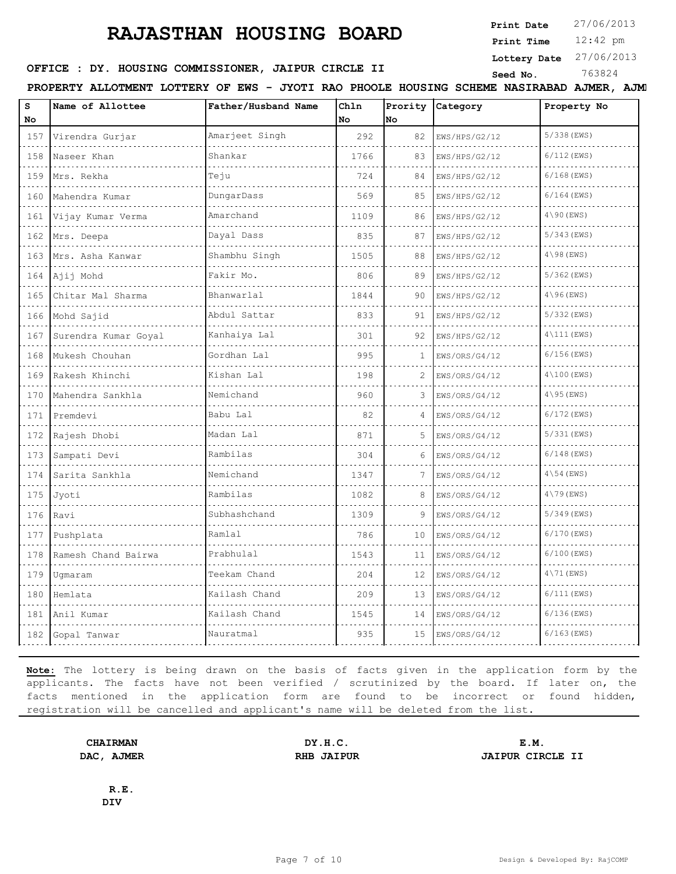**Print Date**  $27/06/2013$ 

12:42 pm **Print Time**

#### **Lottery Date** 27/06/2013

## **SEED OFFICE : DY. HOUSING COMMISSIONER, JAIPUR CIRCLE II** Seed No. 363824

**PROPERTY ALLOTMENT LOTTERY OF EWS - JYOTI RAO PHOOLE HOUSING SCHEME NASIRABAD AJMER, AJMER**

| S<br>No                     | Name of Allottee     | Father/Husband Name | Chln<br>No | Prority<br>No | Category      | Property No            |
|-----------------------------|----------------------|---------------------|------------|---------------|---------------|------------------------|
| 157                         | Virendra Gurjar      | Amarjeet Singh      | 292        | 82            | EWS/HPS/G2/12 | 5/338 (EWS)            |
| 158                         | Naseer Khan          | Shankar             | 1766       | 83            | EWS/HPS/G2/12 | $6/112$ (EWS)          |
| $\sim$ $\sim$ $\sim$<br>159 | Mrs. Rekha           | Teju                | 724        | 84            | EWS/HPS/G2/12 | $6/168$ (EWS)          |
| 160                         | Mahendra Kumar       | DungarDass          | 569        | 85            | EWS/HPS/G2/12 | $6/164$ (EWS)          |
| .<br>161                    | Vijay Kumar Verma    | Amarchand           | 1109       | 86            | EWS/HPS/G2/12 | $4\backslash 90$ (EWS) |
| 162                         | Mrs. Deepa           | Dayal Dass          | 835        | 87            | EWS/HPS/G2/12 | $5/343$ (EWS)          |
| 163                         | Mrs. Asha Kanwar     | Shambhu Singh       | 1505       | 88            | EWS/HPS/G2/12 | $4\backslash 98$ (EWS) |
| 164                         | Ajij Mohd            | Fakir Mo.           | 806        | 89            | EWS/HPS/G2/12 | $5/362$ (EWS)          |
| 165                         | Chitar Mal Sharma    | Bhanwarlal          | 1844       | 90            | EWS/HPS/G2/12 | $4\backslash 96$ (EWS) |
| 166                         | Mohd Sajid           | Abdul Sattar        | 833        | 91            | EWS/HPS/G2/12 | 5/332 (EWS)            |
| 167                         | Surendra Kumar Goyal | Kanhaiya Lal        | 301        | 92            | EWS/HPS/G2/12 | $4\backslash111$ (EWS) |
| 168                         | Mukesh Chouhan       | Gordhan Lal         | 995        | 1             | EWS/ORS/G4/12 | $6/156$ (EWS)          |
| 169                         | Rakesh Khinchi       | Kishan Lal          | 198        | 2             | EWS/ORS/G4/12 | $4\backslash100$ (EWS) |
| 170                         | Mahendra Sankhla     | Nemichand           | 960        | 3             | EWS/ORS/G4/12 | $4\backslash 95$ (EWS) |
| 171                         | Premdevi             | Babu Lal            | 82         | 4             | EWS/ORS/G4/12 | $6/172$ (EWS)          |
| 172                         | Rajesh Dhobi         | Madan Lal           | 871        | 5             | EWS/ORS/G4/12 | $5/331$ (EWS)          |
| 173                         | Sampati Devi         | Rambilas            | 304        | 6             | EWS/ORS/G4/12 | $6/148$ (EWS)          |
| 174                         | Sarita Sankhla       | Nemichand           | 1347       | 7             | EWS/ORS/G4/12 | $4\backslash54$ (EWS)  |
| 175                         | Jyoti                | Rambilas            | 1082       | 8             | EWS/ORS/G4/12 | $4\backslash79$ (EWS)  |
| 176                         | Ravi                 | Subhashchand        | 1309       | 9             | EWS/ORS/G4/12 | $5/349$ (EWS)          |
| 177                         | Pushplata            | Ramlal              | 786        | 10            | EWS/ORS/G4/12 | $6/170$ (EWS)          |
| 178                         | Ramesh Chand Bairwa  | Prabhulal           | 1543       | 11            | EWS/ORS/G4/12 | $6/100$ (EWS)          |
| 179                         | Uqmaram              | Teekam Chand        | 204        | 12            | EWS/ORS/G4/12 | $4\backslash71$ (EWS)  |
| 180                         | Hemlata              | Kailash Chand       | 209        | 13            | EWS/ORS/G4/12 | $6/111$ (EWS)          |
| 181                         | Anil Kumar           | Kailash Chand       | 1545       | 14            | EWS/ORS/G4/12 | $6/136$ (EWS)          |
| 182                         | Gopal Tanwar         | Nauratmal           | 935        | 15            | EWS/ORS/G4/12 | $6/163$ (EWS)          |

**Note:** The lottery is being drawn on the basis of facts given in the application form by the applicants. The facts have not been verified / scrutinized by the board. If later on, the facts mentioned in the application form are found to be incorrect or found hidden, registration will be cancelled and applicant's name will be deleted from the list.

**CHAIRMAN DY.H.C. E.M. DAC, AJMER RHB JAIPUR JAIPUR CIRCLE II**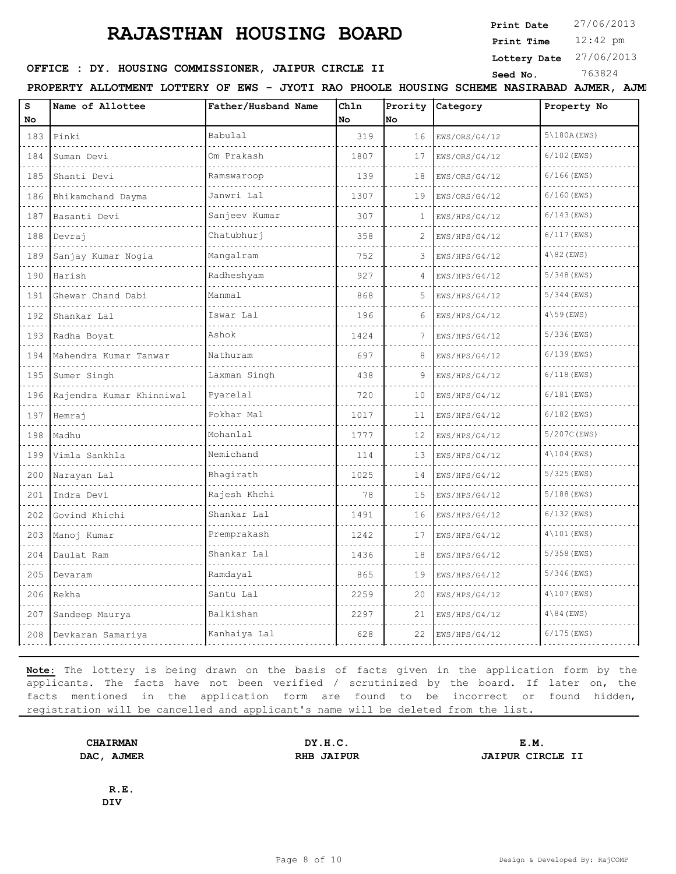**Print Date**  $27/06/2013$ 

12:42 pm **Print Time**

**Lottery Date** 27/06/2013

## **SEED OFFICE : DY. HOUSING COMMISSIONER, JAIPUR CIRCLE II** Seed No. 363824

**PROPERTY ALLOTMENT LOTTERY OF EWS - JYOTI RAO PHOOLE HOUSING SCHEME NASIRABAD AJMER, AJMER**

| S<br>No  | Name of Allottee         | Father/Husband Name | Ch1n<br>No | Prority<br>No | Category      | Property No             |
|----------|--------------------------|---------------------|------------|---------------|---------------|-------------------------|
| 183<br>. | Pinki                    | Babulal             | 319        | 16            | EWS/ORS/G4/12 | $5\backslash180A$ (EWS) |
| 184      | Suman Devi               | Om Prakash          | 1807       | 17            | EWS/ORS/G4/12 | $6/102$ (EWS)           |
| 185      | Shanti Devi              | Ramswaroop          | 139        | 18            | EWS/ORS/G4/12 | $6/166$ (EWS)           |
| 186      | Bhikamchand Dayma        | Janwri Lal          | 1307       | 19            | EWS/ORS/G4/12 | $6/160$ (EWS)           |
| 187      | Basanti Devi             | Sanjeev Kumar       | 307        | 1             | EWS/HPS/G4/12 | $6/143$ (EWS)           |
| 188      | Devrai                   | Chatubhurj          | 358        | 2             | EWS/HPS/G4/12 | $6/117$ (EWS)           |
| 189      | Sanjay Kumar Nogia       | Mangalram           | 752        | 3             | EWS/HPS/G4/12 | $4\$ 82 (EWS)           |
| 190      | Harish                   | Radheshyam          | 927        |               | EWS/HPS/G4/12 | 5/348 (EWS)             |
| 191      | Ghewar Chand Dabi        | Manmal              | 868        | 5             | EWS/HPS/G4/12 | $5/344$ (EWS)           |
| 192      | Shankar Lal              | Iswar Lal           | 196        | 6             | EWS/HPS/G4/12 | $4\backslash 59$ (EWS)  |
| .<br>193 | Radha Boyat              | Ashok               | 1424       |               | EWS/HPS/G4/12 | $5/336$ (EWS)           |
| 194      | Mahendra Kumar Tanwar    | Nathuram            | 697        | 8             | EWS/HPS/G4/12 | $6/139$ (EWS)           |
| 195      | Sumer Singh              | Laxman Singh        | 438        | 9             | EWS/HPS/G4/12 | $6/118$ (EWS)           |
| 196      | Rajendra Kumar Khinniwal | Pyarelal            | 720        | 10            | EWS/HPS/G4/12 | $6/181$ (EWS)           |
| 197      | Hemraj                   | Pokhar Mal          | 1017       | 11            | EWS/HPS/G4/12 | $6/182$ (EWS)           |
| 198      | Madhu                    | Mohanlal            | 1777       | 12            | EWS/HPS/G4/12 | 5/207C (EWS)            |
| 199      | Vimla Sankhla            | Nemichand           | 114        | 13            | EWS/HPS/G4/12 | $4\backslash104$ (EWS)  |
| 200      | Narayan Lal              | Bhagirath           | 1025       | 14            | EWS/HPS/G4/12 | $5/325$ (EWS)           |
| 201      | Indra Devi               | Rajesh Khchi        | 78         | 15            | EWS/HPS/G4/12 | 5/188 (EWS)             |
| 202      | Govind Khichi            | Shankar Lal         | 1491       | 16            | EWS/HPS/G4/12 | $6/132$ (EWS)           |
| 203      | Manoj Kumar              | Premprakash         | 1242       | 17            | EWS/HPS/G4/12 | $4\backslash101$ (EWS)  |
| 204      | Daulat Ram               | Shankar Lal         | 1436       | 18            | EWS/HPS/G4/12 | $5/358$ (EWS)           |
| 205      | Devaram                  | Ramdayal            | 865        | 19            | EWS/HPS/G4/12 | $5/346$ (EWS)           |
| 206      | Rekha                    | Santu Lal           | 2259       | 20            | EWS/HPS/G4/12 | $4\angle 107$ (EWS)     |
| 207      | Sandeep Maurya           | Balkishan           | 2297       | 21            | EWS/HPS/G4/12 | $4\backslash 84$ (EWS)  |
| 208      | Devkaran Samariya        | Kanhaiya Lal        | 628        | 22            | EWS/HPS/G4/12 | $6/175$ (EWS)           |

**Note:** The lottery is being drawn on the basis of facts given in the application form by the applicants. The facts have not been verified / scrutinized by the board. If later on, the facts mentioned in the application form are found to be incorrect or found hidden, registration will be cancelled and applicant's name will be deleted from the list.

**CHAIRMAN DY.H.C. E.M. DAC, AJMER RHB JAIPUR JAIPUR CIRCLE II**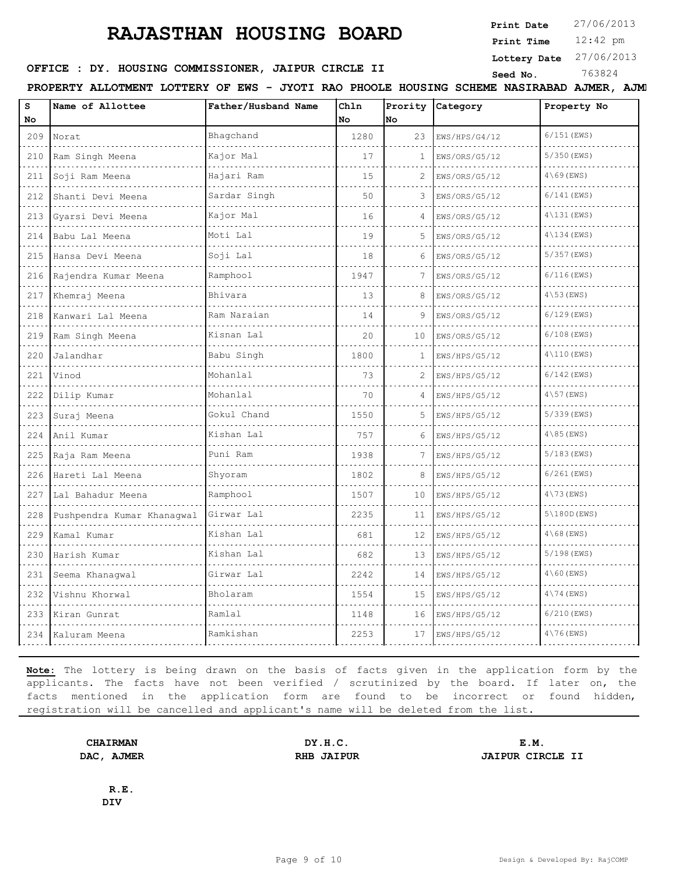**Print Date**  $27/06/2013$ 

12:42 pm **Print Time**

**Lottery Date** 27/06/2013

## **SEED OFFICE : DY. HOUSING COMMISSIONER, JAIPUR CIRCLE II** Seed No. 363824

**PROPERTY ALLOTMENT LOTTERY OF EWS - JYOTI RAO PHOOLE HOUSING SCHEME NASIRABAD AJMER, AJMER**

| S<br>No.                           | Name of Allottee           | Father/Husband Name | Chln<br>No. | Prority<br><b>No</b> | Category      | Property No            |
|------------------------------------|----------------------------|---------------------|-------------|----------------------|---------------|------------------------|
| 209                                | Norat                      | Bhaqchand           | 1280        | 23                   | EWS/HPS/G4/12 | $6/151$ (EWS)          |
| $\sim$ $\sim$ $\sim$ $\sim$<br>210 | Ram Singh Meena            | Kajor Mal           | 17          | 1                    | EWS/ORS/G5/12 | $5/350$ (EWS)          |
| 211                                | Soji Ram Meena             | Hajari Ram          | 15          | 2                    | EWS/ORS/G5/12 | $4\backslash 69$ (EWS) |
| 212<br>and a state                 | Shanti Devi Meena          | Sardar Singh        | 50          | 3                    | EWS/ORS/G5/12 | $6/141$ (EWS)          |
| 213                                | Gyarsi Devi Meena          | Kajor Mal           | 16          |                      | EWS/ORS/G5/12 | $4\backslash131$ (EWS) |
| 214                                | Babu Lal Meena<br>.        | Moti Lal            | 19          | 5                    | EWS/ORS/G5/12 | $4\backslash134$ (EWS) |
| 215                                | Hansa Devi Meena           | Soji Lal            | 18          | 6                    | EWS/ORS/G5/12 | $5/357$ (EWS)          |
| 216                                | Rajendra Kumar Meena       | Ramphool            | 1947        |                      | EWS/ORS/G5/12 | $6/116$ (EWS)          |
| 217                                | Khemraj Meena              | Bhivara             | 13          | 8                    | EWS/ORS/G5/12 | $4\backslash53$ (EWS)  |
| 218                                | Kanwari Lal Meena          | Ram Naraian         | 14          | 9                    | EWS/ORS/G5/12 | $6/129$ (EWS)          |
| 219                                | Ram Singh Meena            | Kisnan Lal          | 20          | 10                   | EWS/ORS/G5/12 | $6/108$ (EWS)          |
| 220                                | Jalandhar                  | Babu Singh          | 1800        | 1                    | EWS/HPS/G5/12 | $4\backslash110$ (EWS) |
| 221                                | Vinod                      | Mohanlal            | 73          | 2                    | EWS/HPS/G5/12 | $6/142$ (EWS)          |
| 222                                | Dilip Kumar                | Mohanlal            | 70          | 4                    | EWS/HPS/G5/12 | $4\backslash57$ (EWS)  |
| 223                                | Suraj Meena                | Gokul Chand         | 1550        | 5                    | EWS/HPS/G5/12 | 5/339 (EWS)            |
| 224                                | Anil Kumar                 | Kishan Lal          | 757         | 6                    | EWS/HPS/G5/12 | $4\backslash 85$ (EWS) |
| 225                                | Raja Ram Meena             | Puni Ram            | 1938        |                      | EWS/HPS/G5/12 | $5/183$ (EWS)          |
| 226                                | Hareti Lal Meena           | Shyoram             | 1802        | 8                    | EWS/HPS/G5/12 | $6/261$ (EWS)          |
| 227                                | Lal Bahadur Meena          | Ramphool            | 1507        | 10                   | EWS/HPS/G5/12 | $4\backslash73$ (EWS)  |
| 228                                | Pushpendra Kumar Khanaqwal | Girwar Lal          | 2235        | 11                   | EWS/HPS/G5/12 | 5(180D(ENS))           |
| 229                                | Kamal Kumar                | Kishan Lal          | 681         | 12                   | EWS/HPS/G5/12 | $4\backslash 68$ (EWS) |
| 230                                | Harish Kumar               | Kishan Lal          | 682         | 13                   | EWS/HPS/G5/12 | 5/198 (EWS)            |
| 231                                | Seema Khanaqwal            | Girwar Lal          | 2242        | 14                   | EWS/HPS/G5/12 | $4\backslash 60$ (EWS) |
| 232                                | Vishnu Khorwal             | Bholaram            | 1554        | 15                   | EWS/HPS/G5/12 | $4\backslash74$ (EWS)  |
| 233                                | Kiran Gunrat               | Ramlal              | 1148        | 16                   | EWS/HPS/G5/12 | $6/210$ (EWS)          |
| 234                                | Kaluram Meena              | Ramkishan           | 2253        | 17                   | EWS/HPS/G5/12 | $4\backslash76$ (EWS)  |

**Note:** The lottery is being drawn on the basis of facts given in the application form by the applicants. The facts have not been verified / scrutinized by the board. If later on, the facts mentioned in the application form are found to be incorrect or found hidden, registration will be cancelled and applicant's name will be deleted from the list.

**CHAIRMAN DY.H.C. E.M. DAC, AJMER RHB JAIPUR JAIPUR CIRCLE II**